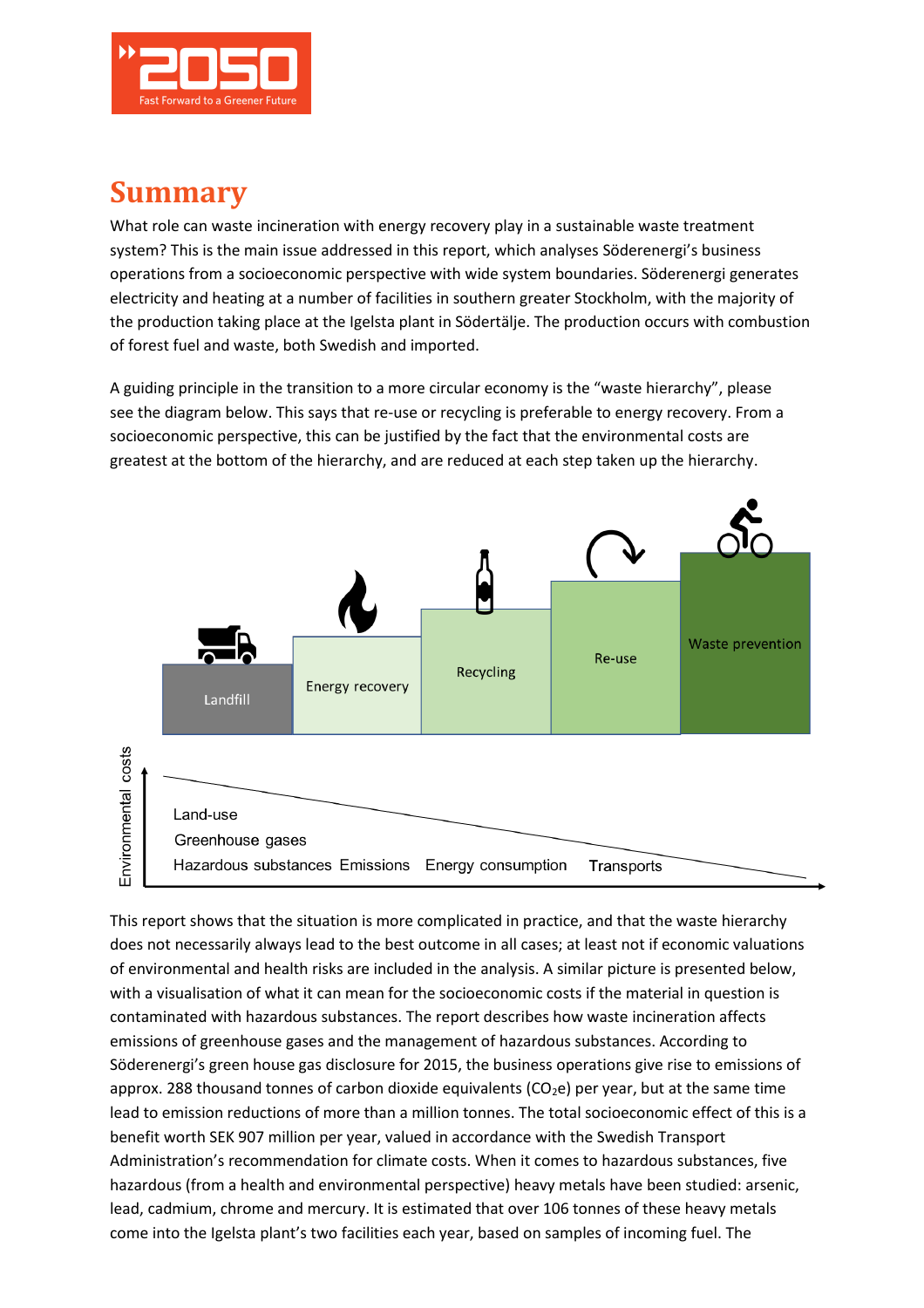

## **Summary**

What role can waste incineration with energy recovery play in a sustainable waste treatment system? This is the main issue addressed in this report, which analyses Söderenergi's business operations from a socioeconomic perspective with wide system boundaries. Söderenergi generates electricity and heating at a number of facilities in southern greater Stockholm, with the majority of the production taking place at the Igelsta plant in Södertälje. The production occurs with combustion of forest fuel and waste, both Swedish and imported.

A guiding principle in the transition to a more circular economy is the "waste hierarchy", please see the diagram below. This says that re-use or recycling is preferable to energy recovery. From a socioeconomic perspective, this can be justified by the fact that the environmental costs are greatest at the bottom of the hierarchy, and are reduced at each step taken up the hierarchy.



This report shows that the situation is more complicated in practice, and that the waste hierarchy does not necessarily always lead to the best outcome in all cases; at least not if economic valuations of environmental and health risks are included in the analysis. A similar picture is presented below, with a visualisation of what it can mean for the socioeconomic costs if the material in question is contaminated with hazardous substances. The report describes how waste incineration affects emissions of greenhouse gases and the management of hazardous substances. According to Söderenergi's green house gas disclosure for 2015, the business operations give rise to emissions of approx. 288 thousand tonnes of carbon dioxide equivalents ( $CO<sub>2</sub>e$ ) per year, but at the same time lead to emission reductions of more than a million tonnes. The total socioeconomic effect of this is a benefit worth SEK 907 million per year, valued in accordance with the Swedish Transport Administration's recommendation for climate costs. When it comes to hazardous substances, five hazardous (from a health and environmental perspective) heavy metals have been studied: arsenic, lead, cadmium, chrome and mercury. It is estimated that over 106 tonnes of these heavy metals come into the Igelsta plant's two facilities each year, based on samples of incoming fuel. The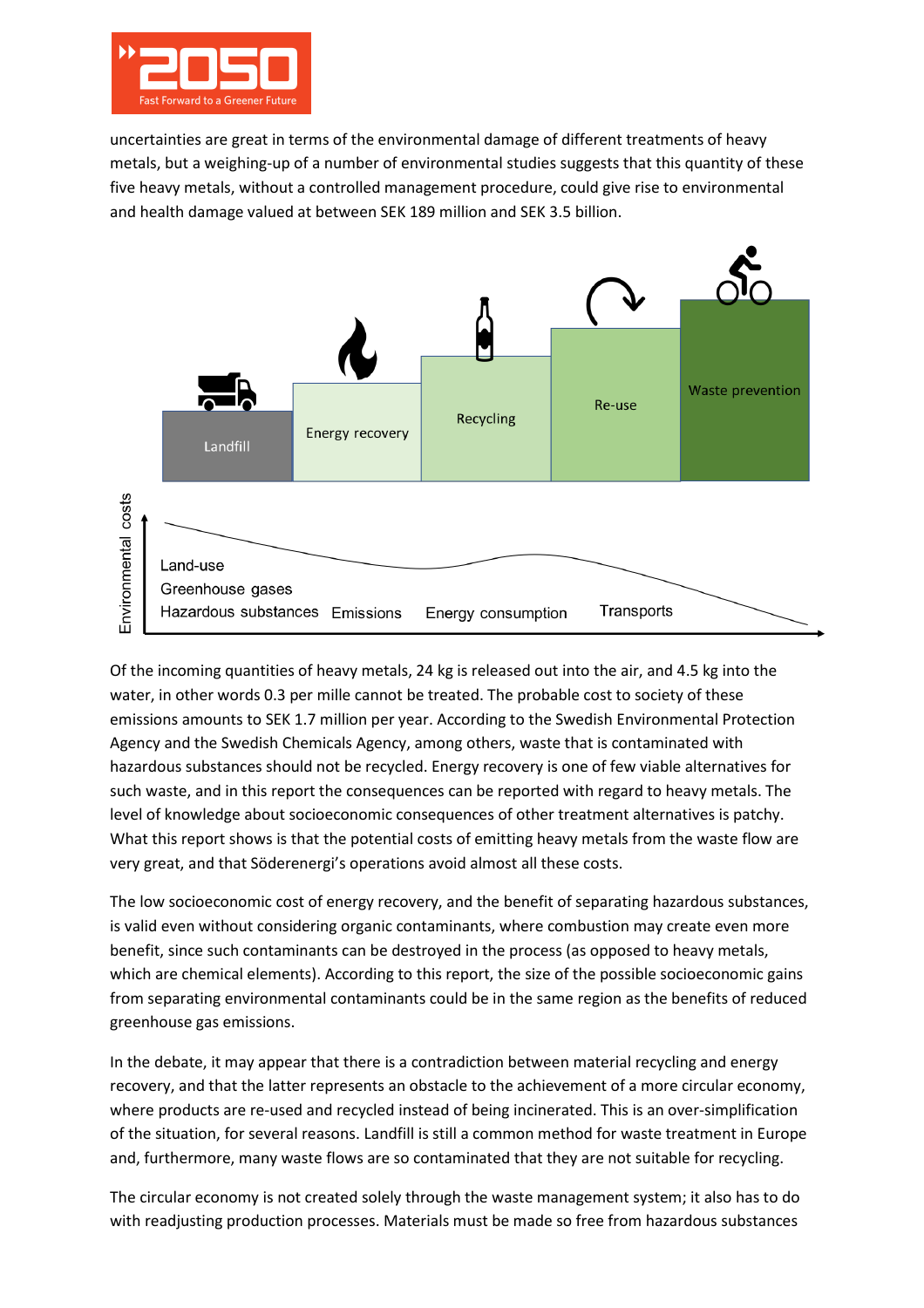

uncertainties are great in terms of the environmental damage of different treatments of heavy metals, but a weighing-up of a number of environmental studies suggests that this quantity of these five heavy metals, without a controlled management procedure, could give rise to environmental and health damage valued at between SEK 189 million and SEK 3.5 billion.



Of the incoming quantities of heavy metals, 24 kg is released out into the air, and 4.5 kg into the water, in other words 0.3 per mille cannot be treated. The probable cost to society of these emissions amounts to SEK 1.7 million per year. According to the Swedish Environmental Protection Agency and the Swedish Chemicals Agency, among others, waste that is contaminated with hazardous substances should not be recycled. Energy recovery is one of few viable alternatives for such waste, and in this report the consequences can be reported with regard to heavy metals. The level of knowledge about socioeconomic consequences of other treatment alternatives is patchy. What this report shows is that the potential costs of emitting heavy metals from the waste flow are very great, and that Söderenergi's operations avoid almost all these costs.

The low socioeconomic cost of energy recovery, and the benefit of separating hazardous substances, is valid even without considering organic contaminants, where combustion may create even more benefit, since such contaminants can be destroyed in the process (as opposed to heavy metals, which are chemical elements). According to this report, the size of the possible socioeconomic gains from separating environmental contaminants could be in the same region as the benefits of reduced greenhouse gas emissions.

In the debate, it may appear that there is a contradiction between material recycling and energy recovery, and that the latter represents an obstacle to the achievement of a more circular economy, where products are re-used and recycled instead of being incinerated. This is an over-simplification of the situation, for several reasons. Landfill is still a common method for waste treatment in Europe and, furthermore, many waste flows are so contaminated that they are not suitable for recycling.

The circular economy is not created solely through the waste management system; it also has to do with readjusting production processes. Materials must be made so free from hazardous substances